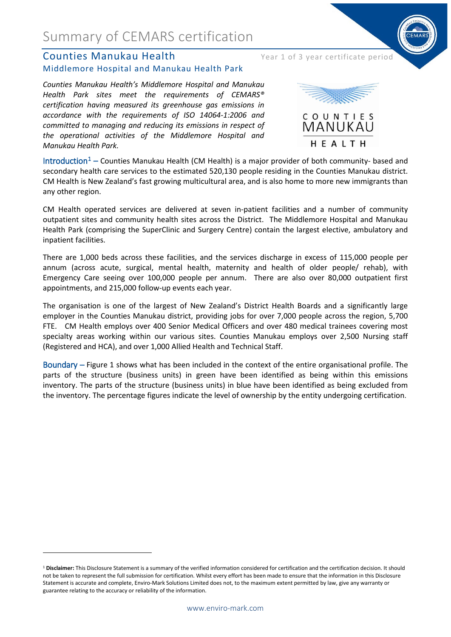## Summary of CEMARS certification

#### Counties Manukau Health Year 1 of 3 year certificate period Middlemore Hospital and Manukau Health Park

*Counties Manukau Health's Middlemore Hospital and Manukau Health Park sites meet the requirements of CEMARS® certification having measured its greenhouse gas emissions in accordance with the requirements of ISO 14064-1:2006 and committed to managing and reducing its emissions in respect of the operational activities of the Middlemore Hospital and Manukau Health Park.*



Introduction<sup>[1](#page-0-0)</sup> – Counties Manukau Health (CM Health) is a major provider of both community- based and secondary health care services to the estimated 520,130 people residing in the Counties Manukau district. CM Health is New Zealand's fast growing multicultural area, and is also home to more new immigrants than any other region.

CM Health operated services are delivered at seven in-patient facilities and a number of community outpatient sites and community health sites across the District. The Middlemore Hospital and Manukau Health Park (comprising the SuperClinic and Surgery Centre) contain the largest elective, ambulatory and inpatient facilities.

There are 1,000 beds across these facilities, and the services discharge in excess of 115,000 people per annum (across acute, surgical, mental health, maternity and health of older people/ rehab), with Emergency Care seeing over 100,000 people per annum. There are also over 80,000 outpatient first appointments, and 215,000 follow-up events each year.

The organisation is one of the largest of New Zealand's District Health Boards and a significantly large employer in the Counties Manukau district, providing jobs for over 7,000 people across the region, 5,700 FTE. CM Health employs over 400 Senior Medical Officers and over 480 medical trainees covering most specialty areas working within our various sites. Counties Manukau employs over 2,500 Nursing staff (Registered and HCA), and over 1,000 Allied Health and Technical Staff.

Boundary – Figure 1 shows what has been included in the context of the entire organisational profile. The parts of the structure (business units) in green have been identified as being within this emissions inventory. The parts of the structure (business units) in blue have been identified as being excluded from the inventory. The percentage figures indicate the level of ownership by the entity undergoing certification.

**.** 

<span id="page-0-0"></span><sup>&</sup>lt;sup>1</sup> Disclaimer: This Disclosure Statement is a summary of the verified information considered for certification and the certification decision. It should not be taken to represent the full submission for certification. Whilst every effort has been made to ensure that the information in this Disclosure Statement is accurate and complete, Enviro-Mark Solutions Limited does not, to the maximum extent permitted by law, give any warranty or guarantee relating to the accuracy or reliability of the information.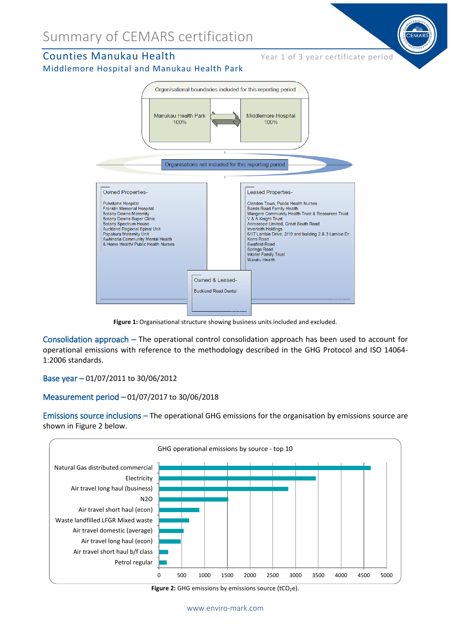## Summary of CEMARS certification

#### Counties Manukau Health Year 1 of 3 year certificate period

#### Middlemore Hospital and Manukau Health Park



**Figure 1:** Organisational structure showing business units included and excluded.

Consolidation approach – The operational control consolidation approach has been used to account for operational emissions with reference to the methodology described in the GHG Protocol and ISO 14064- 1:2006 standards.

Base year – 01/07/2011 to 30/06/2012

#### Measurement period – 01/07/2017 to 30/06/2018

Emissions source inclusions – The operational GHG emissions for the organisation by emissions source are shown in Figure 2 below.



**Figure 2:** GHG emissions by emissions source (tCO<sub>2</sub>e).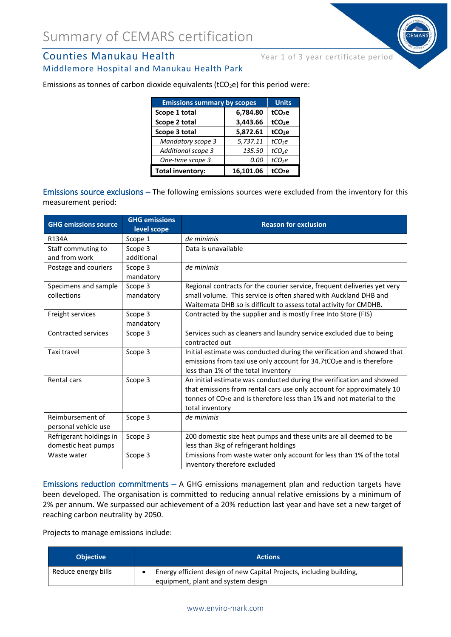# **Counties Manukau Health** Year 1 of 3 year certificate period



| <b>Emissions summary by scopes</b> |           | <b>Units</b>       |
|------------------------------------|-----------|--------------------|
| Scope 1 total                      | 6,784.80  | tCO <sub>2</sub> e |
| Scope 2 total                      | 3,443.66  | tCO <sub>2</sub> e |
| Scope 3 total                      | 5,872.61  | tCO <sub>2</sub> e |
| Mandatory scope 3                  | 5,737.11  | tCO <sub>2</sub> e |
| Additional scope 3                 | 135.50    | tCO <sub>2</sub> e |
| One-time scope 3                   | 0.00      | tCO <sub>2</sub> e |
| <b>Total inventory:</b>            | 16.101.06 | tCO <sub>2</sub> e |

Emissions as tonnes of carbon dioxide equivalents ( $tCO<sub>2</sub>e$ ) for this period were:

Emissions source exclusions – The following emissions sources were excluded from the inventory for this measurement period:

| <b>GHG emissions source</b>                    | <b>GHG emissions</b><br>level scope | <b>Reason for exclusion</b>                                                                                                                                                                                                                           |
|------------------------------------------------|-------------------------------------|-------------------------------------------------------------------------------------------------------------------------------------------------------------------------------------------------------------------------------------------------------|
| <b>R134A</b>                                   | Scope 1                             | de minimis                                                                                                                                                                                                                                            |
| Staff commuting to<br>and from work            | Scope 3<br>additional               | Data is unavailable                                                                                                                                                                                                                                   |
| Postage and couriers                           | Scope 3<br>mandatory                | de minimis                                                                                                                                                                                                                                            |
| Specimens and sample                           | Scope 3                             | Regional contracts for the courier service, frequent deliveries yet very                                                                                                                                                                              |
| collections                                    | mandatory                           | small volume. This service is often shared with Auckland DHB and<br>Waitemata DHB so is difficult to assess total activity for CMDHB.                                                                                                                 |
| Freight services                               | Scope 3<br>mandatory                | Contracted by the supplier and is mostly Free Into Store (FIS)                                                                                                                                                                                        |
| Contracted services                            | Scope 3                             | Services such as cleaners and laundry service excluded due to being<br>contracted out                                                                                                                                                                 |
| Taxi travel                                    | Scope 3                             | Initial estimate was conducted during the verification and showed that<br>emissions from taxi use only account for 34.7tCO <sub>2</sub> e and is therefore<br>less than 1% of the total inventory                                                     |
| Rental cars                                    | Scope 3                             | An initial estimate was conducted during the verification and showed<br>that emissions from rental cars use only account for approximately 10<br>tonnes of CO <sub>2</sub> e and is therefore less than 1% and not material to the<br>total inventory |
| Reimbursement of<br>personal vehicle use       | Scope 3                             | de minimis                                                                                                                                                                                                                                            |
| Refrigerant holdings in<br>domestic heat pumps | Scope 3                             | 200 domestic size heat pumps and these units are all deemed to be<br>less than 3kg of refrigerant holdings                                                                                                                                            |
| Waste water                                    | Scope 3                             | Emissions from waste water only account for less than 1% of the total<br>inventory therefore excluded                                                                                                                                                 |

Emissions reduction commitments – A GHG emissions management plan and reduction targets have been developed. The organisation is committed to reducing annual relative emissions by a minimum of 2% per annum. We surpassed our achievement of a 20% reduction last year and have set a new target of reaching carbon neutrality by 2050.

Projects to manage emissions include:

| <b>Objective</b>    | <b>Actions</b>                                                                                             |
|---------------------|------------------------------------------------------------------------------------------------------------|
| Reduce energy bills | Energy efficient design of new Capital Projects, including building,<br>equipment, plant and system design |